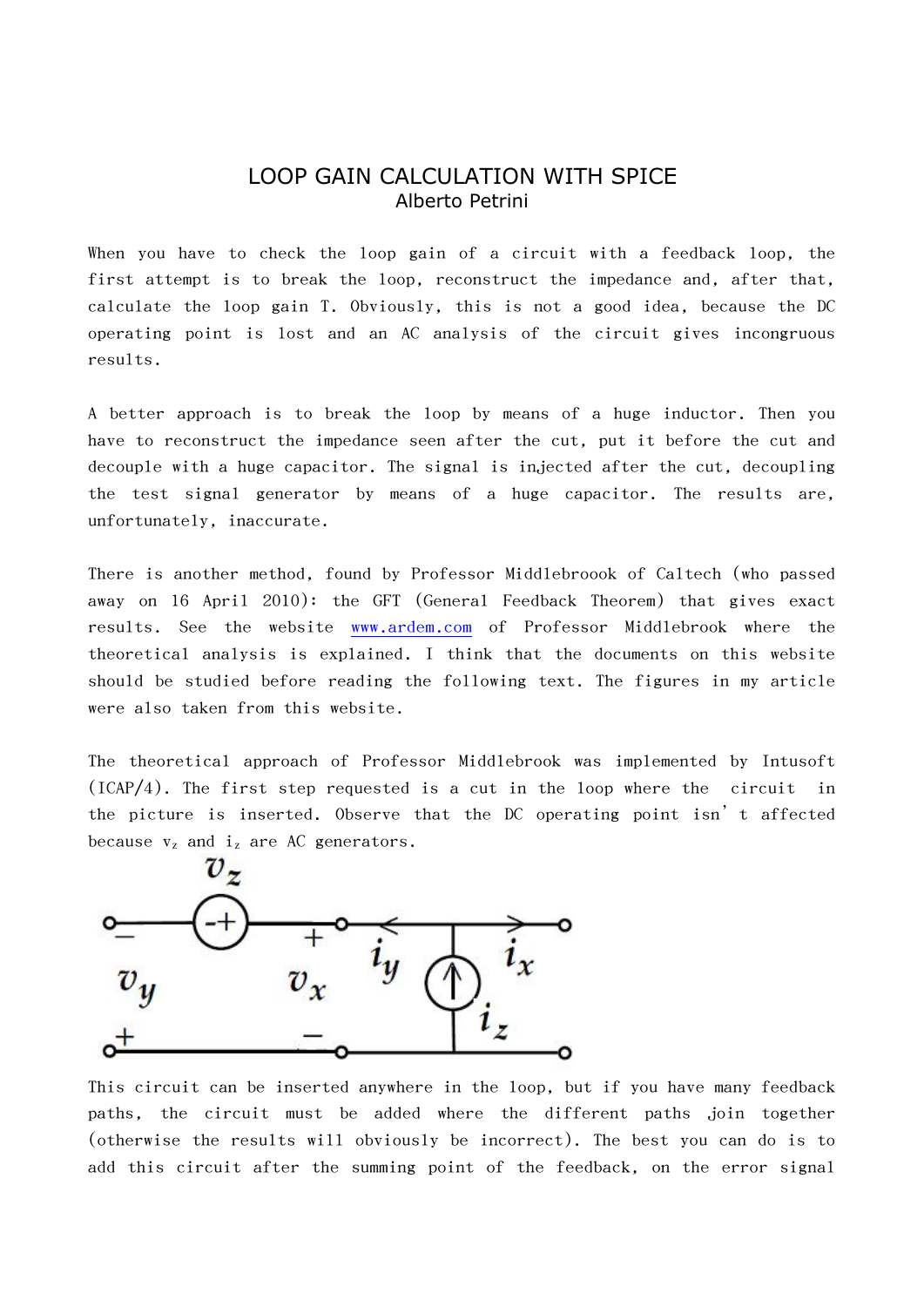## LOOP GAIN CALCULATION WITH SPICE Alberto Petrini

When you have to check the loop gain of a circuit with a feedback loop, the first attempt is to break the loop, reconstruct the impedance and, after that, calculate the loop gain T. Obviously, this is not a good idea, because the DC operating point is lost and an AC analysis of the circuit gives incongruous results.

A better approach is to break the loop by means of a huge inductor. Then you have to reconstruct the impedance seen after the cut, put it before the cut and decouple with a huge capacitor. The signal is injected after the cut, decoupling the test signal generator by means of a huge capacitor. The results are, unfortunately, inaccurate.

There is another method, found by Professor Middlebroook of Caltech (who passed away on 16 April 2010): the GFT (General Feedback Theorem) that gives exact results. See the website [www.ardem.com](http://www.ardem.com/) of Professor Middlebrook where the theoretical analysis is explained. I think that the documents on this website should be studied before reading the following text. The figures in my article were also taken from this website.

The theoretical approach of Professor Middlebrook was implemented by Intusoft  $(ICAP/4)$ . The first step requested is a cut in the loop where the circuit in the picture is inserted. Observe that the DC operating point isn't affected because  $v_z$  and  $i_z$  are AC generators.



This circuit can be inserted anywhere in the loop, but if you have many feedback paths, the circuit must be added where the different paths join together (otherwise the results will obviously be incorrect). The best you can do is to add this circuit after the summing point of the feedback, on the error signal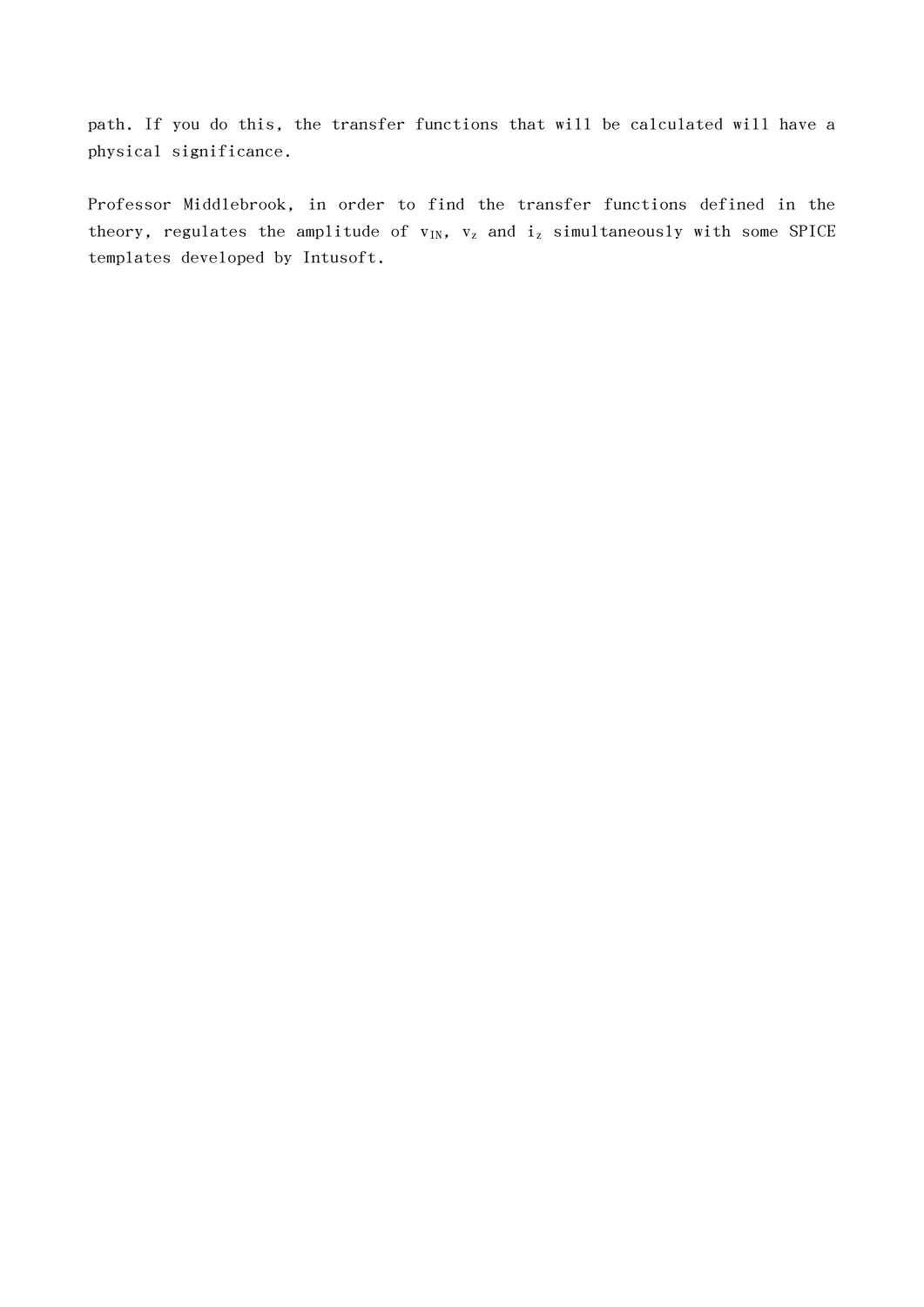path. If you do this, the transfer functions that will be calculated will have a physical significance.

Professor Middlebrook, in order to find the transfer functions defined in the theory, regulates the amplitude of  $v_{IN}$ ,  $v_z$  and  $i_z$  simultaneously with some SPICE templates developed by Intusoft.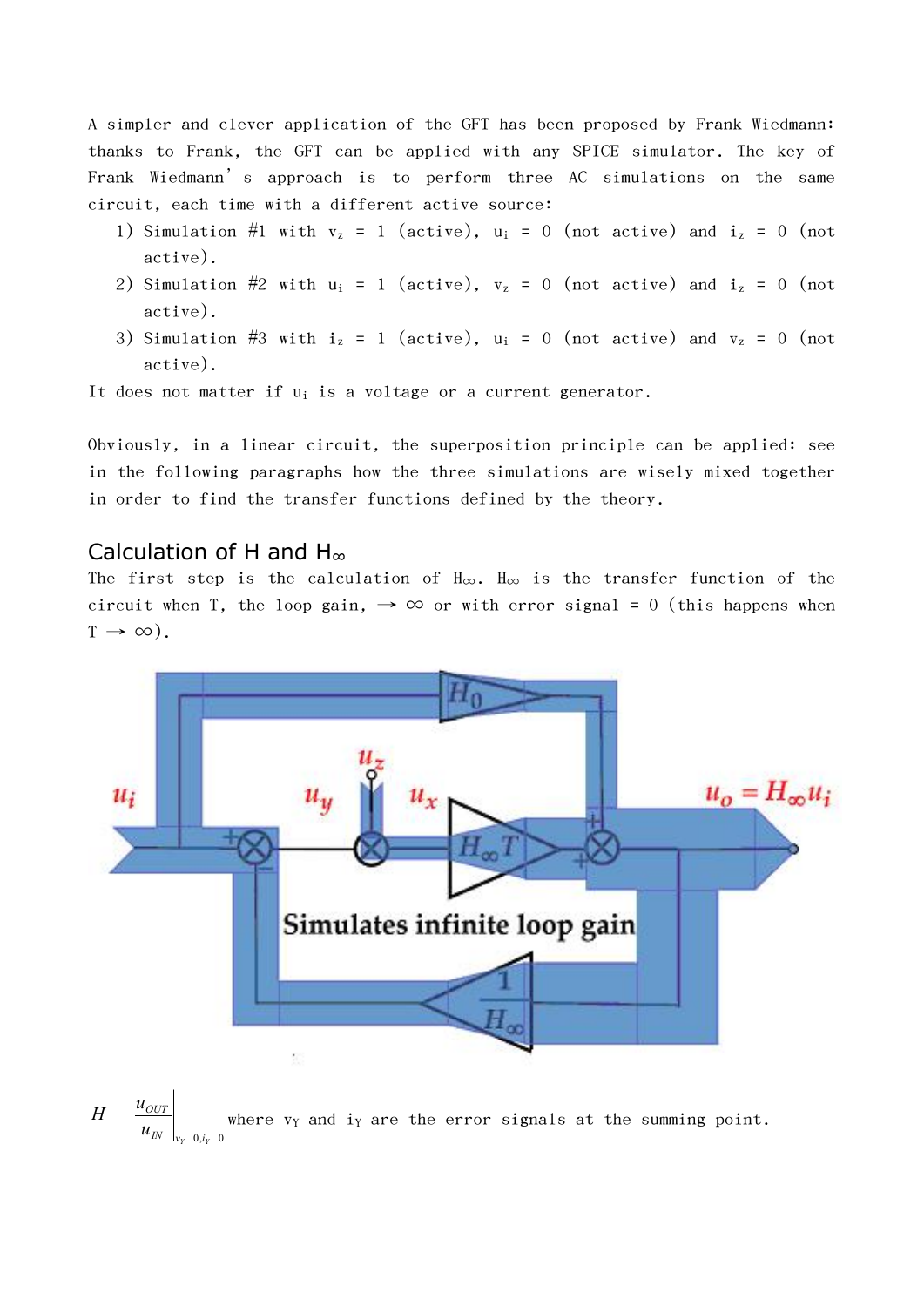A simpler and clever application of the GFT has been proposed by Frank Wiedmann: thanks to Frank, the GFT can be applied with any SPICE simulator. The key of Frank Wiedmann's approach is to perform three AC simulations on the same circuit, each time with a different active source:

- 1) Simulation #1 with  $v_z = 1$  (active),  $u_i = 0$  (not active) and  $i_z = 0$  (not active).
- 2) Simulation #2 with  $u_i = 1$  (active),  $v_z = 0$  (not active) and  $i_z = 0$  (not active).
- 3) Simulation #3 with  $i_z = 1$  (active),  $u_i = 0$  (not active) and  $v_z = 0$  (not active).

It does not matter if u<sub>i</sub> is a voltage or a current generator.

Obviously, in a linear circuit, the superposition principle can be applied: see in the following paragraphs how the three simulations are wisely mixed together in order to find the transfer functions defined by the theory.

## Calculation of H and H<sup>∞</sup>

The first step is the calculation of H∞. H<sup>∞</sup> is the transfer function of the circuit when T, the loop gain,  $\rightarrow \infty$  or with error signal = 0 (this happens when  $T \rightarrow \infty$ ).



 $\begin{bmatrix} u_{OUT}\ u_{IN}\ \end{bmatrix}_{\nu_Y=0,i_Y=0}$ *OUT u*<sub>oUT</sub>  $\frac{u_{OUT}}{u_{IN}}$ where v<sub>Y</sub> and i<sub>Y</sub> are the error signals at the summing point.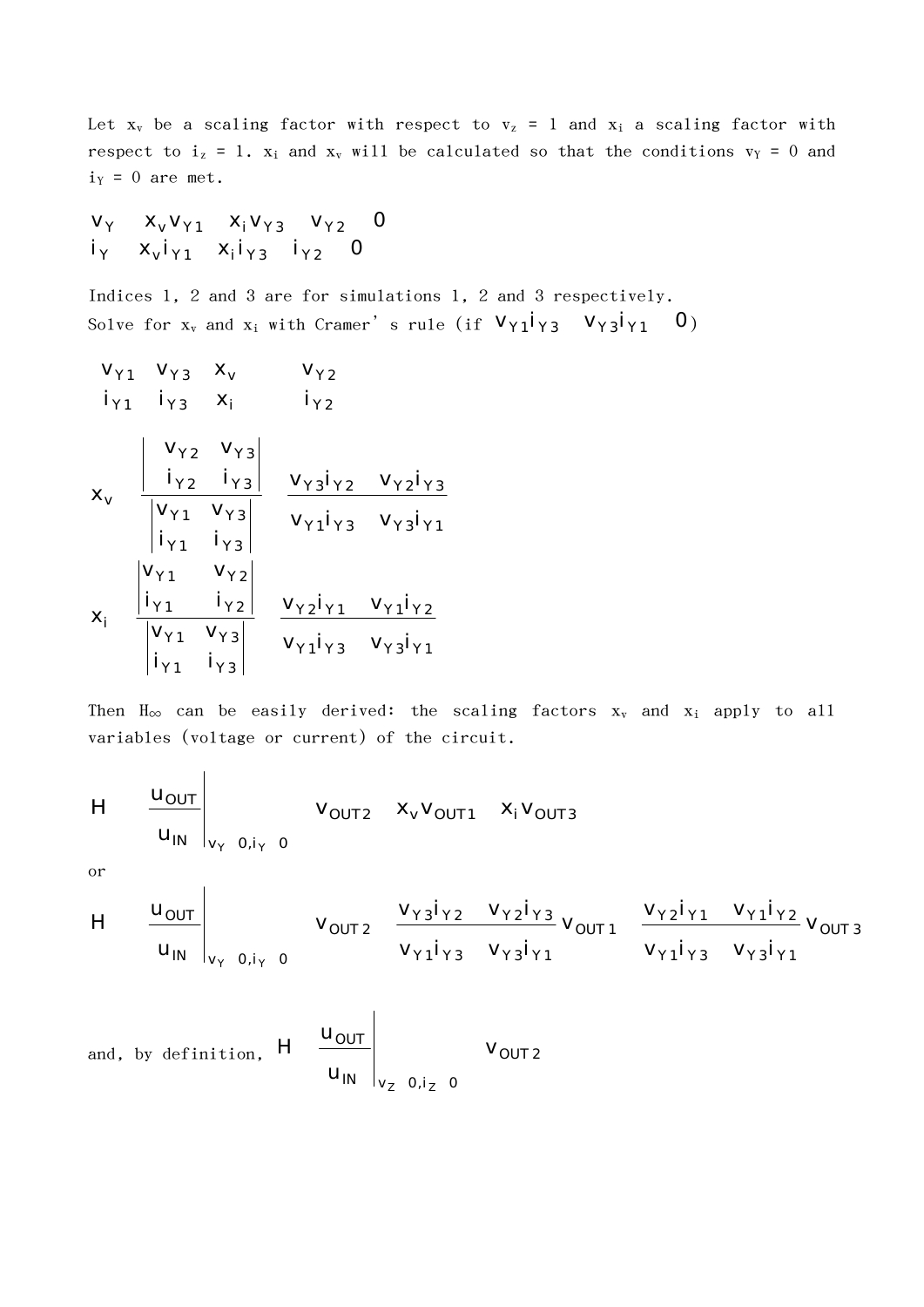Let  $x_v$  be a scaling factor with respect to  $v_z = 1$  and  $x_i$  a scaling factor with respect to  $i_z = 1$ .  $x_i$  and  $x_v$  will be calculated so that the conditions  $v_y = 0$  and  $i_Y = 0$  are met.

$$
v_{Y} \t x_{V} v_{Y1} \t x_{i} v_{Y3} \t v_{Y2} \t 0i_{Y} \t x_{V} i_{Y1} \t x_{i} i_{Y3} \t i_{Y2} \t 0
$$

Indices 1, 2 and 3 are for simulations 1, 2 and 3 respectively. Solve for  ${\rm x}_{\rm v}$  and  ${\rm x}_{\rm i}$  with Cramer's rule (if  ${\sf v}_{{\rm Y}1}{\sf i}_{{\rm Y}3}$   ${\sf v}_{{\rm Y}3}{\sf i}_{{\rm Y}1}$   ${\sf 0})$ 

$$
v_{\gamma1} v_{\gamma3} x_{v} v_{\gamma2}
$$
\n
$$
i_{\gamma1} i_{\gamma3} x_{i} i_{\gamma2}
$$
\n
$$
x_{v} \frac{\begin{vmatrix} v_{\gamma2} v_{\gamma3} \\ i_{\gamma2} i_{\gamma3} \end{vmatrix}}{\begin{vmatrix} v_{\gamma1} v_{\gamma3} \\ i_{\gamma1} i_{\gamma3} \end{vmatrix}} \frac{v_{\gamma3} i_{\gamma2} v_{\gamma2} i_{\gamma3}}{v_{\gamma1} i_{\gamma3} v_{\gamma3} i_{\gamma1}}
$$
\n
$$
x_{i} \frac{\begin{vmatrix} v_{\gamma1} & v_{\gamma2} \\ i_{\gamma1} & i_{\gamma2} \end{vmatrix}}{\begin{vmatrix} v_{\gamma1} v_{\gamma3} \\ i_{\gamma1} i_{\gamma3} \end{vmatrix}} \frac{v_{\gamma2} i_{\gamma1} v_{\gamma1} i_{\gamma2}}{v_{\gamma1} i_{\gamma3} v_{\gamma3} i_{\gamma1}}
$$

Then  $H_{\infty}$  can be easily derived: the scaling factors  $x_v$  and  $x_i$  apply to all variables (voltage or current) of the circuit.

$$
H = \begin{array}{c|cc} u_{\text{OUT}} & & v_{\text{OUT2}} & x_v v_{\text{OUT1}} & x_i v_{\text{OUT3}} \\ \hline u_{\text{IN}} & & v_{\text{V}} & 0, i_{\text{V}} & 0 \end{array}
$$

or

$$
H = \left. \begin{array}{cc} u_{\text{OUT}} \\ u_{\text{IN}} \end{array} \right|_{v_{\gamma=0,i_{\gamma=0}}} \quad v_{\text{OUT2}} = \frac{v_{\gamma3}i_{\gamma2} - v_{\gamma2}i_{\gamma3}}{v_{\gamma1}i_{\gamma3} - v_{\gamma3}i_{\gamma1}} \\\ v_{\gamma1}i_{\gamma3} = \frac{v_{\gamma2}i_{\gamma1} - v_{\gamma1}i_{\gamma2}}{v_{\gamma1}i_{\gamma3} - v_{\gamma3}i_{\gamma1}} \\\ v_{\gamma2}i_{\gamma1} = \frac{v_{\gamma2}i_{\gamma1} - v_{\gamma1}i_{\gamma2}}{v_{\gamma2}i_{\gamma1}} \\\end{array}
$$

and, by definition, 
$$
H = \begin{bmatrix} u_{\text{OUT}} \\ u_{\text{IN}} \end{bmatrix}_{v_z = 0, i_z = 0}
$$
  $V_{\text{OUT 2}}$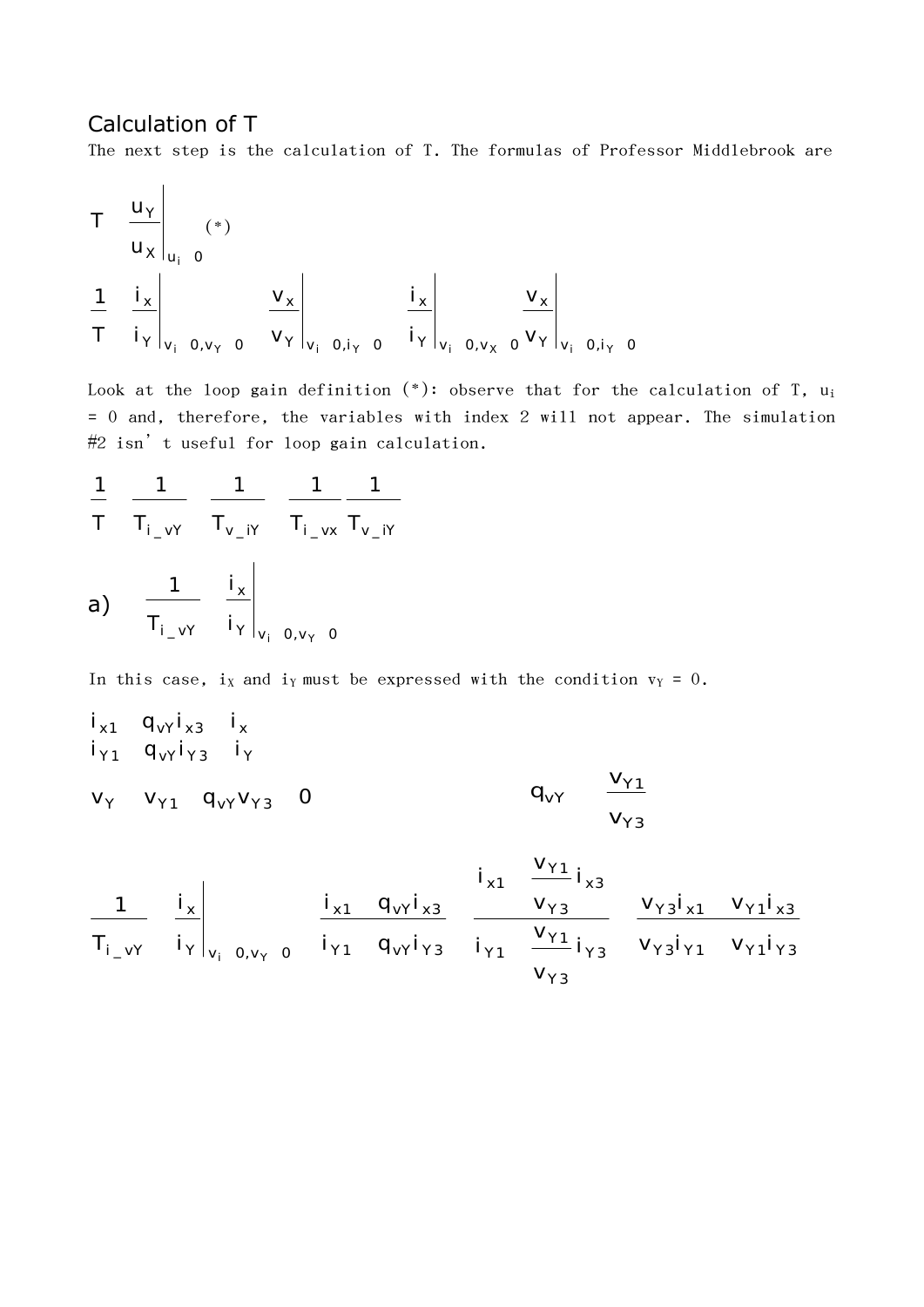## Calculation of T

The next step is the calculation of T. The formulas of Professor Middlebrook are

$$
T \t\t\t\frac{u_{Y}}{u_{X}}\t\t\t\frac{1}{u_{i}} \t\t\t\frac{1}{v_{i}} \t\t\t\frac{1}{v_{i}} \t\t\t\frac{v_{X}}{v_{Y}}\t\t\t\frac{1}{v_{i}} \t\t\t\frac{1}{v_{i}} \t\t\t\frac{1}{v_{i}} \t\t\t\frac{v_{X}}{v_{i}}\t\t\t\frac{v_{X}}{v_{i}} \t\t\t\frac{v_{X}}{v_{i}} \t\t\t\frac{1}{v_{i}} \t\t\t\frac{1}{v_{i}} \t\t\t\frac{1}{v_{i}} \t\t\t\frac{1}{v_{i}} \t\t\t\frac{1}{v_{i}} \t\t\t\frac{1}{v_{i}} \t\t\t\frac{1}{v_{i}} \t\t\t\frac{1}{v_{i}} \t\t\t\frac{1}{v_{i}} \t\t\t\frac{1}{v_{i}} \t\t\t\frac{1}{v_{i}} \t\t\t\frac{1}{v_{i}} \t\t\t\frac{1}{v_{i}} \t\t\t\frac{1}{v_{i}} \t\t\t\frac{1}{v_{i}} \t\t\t\frac{1}{v_{i}} \t\t\t\frac{1}{v_{i}} \t\t\t\frac{1}{v_{i}} \t\t\t\frac{1}{v_{i}} \t\t\t\frac{1}{v_{i}} \t\t\t\frac{1}{v_{i}} \t\t\t\frac{1}{v_{i}} \t\t\t\frac{1}{v_{i}} \t\t\t\frac{1}{v_{i}} \t\t\t\frac{1}{v_{i}} \t\t\t\frac{1}{v_{i}} \t\t\t\frac{1}{v_{i}} \t\t\t\frac{1}{v_{i}} \t\t\t\frac{1}{v_{i}} \t\t\t\frac{1}{v_{i}} \t\t\t\frac{1}{v_{i}} \t\t\t\frac{1}{v_{i}} \t\t\t\frac{1}{v_{i}} \t\t\t\frac{1}{v_{i}} \t\t\t\frac{1}{v_{i}} \t\t\t\frac{1}{v_{i}} \t\t\t\frac{1}{v_{i}} \t\t\t\frac{1}{v_{i}} \t\t\t\frac{1}{v_{i}} \t\t\t\frac{1}{v_{i}} \t\t\t\frac{1}{v_{i}} \t\t\t\frac{1}{v_{i}} \t\t\t\frac{1}{v_{i}} \t\t\t\frac{1}{v_{i}} \t\t\t\frac{1}{v_{i}} \t\t\t\frac{1}{v_{i}} \t
$$

Look at the loop gain definition  $(*)$ : observe that for the calculation of T, u<sub>i</sub> = 0 and, therefore, the variables with index 2 will not appear. The simulation #2 isn't useful for loop gain calculation.

$$
\frac{1}{T} \frac{1}{T_{i\_vY}} \frac{1}{T_{v\_iY}} \frac{1}{T_{i\_vx}} \frac{1}{T_{v\_iY}}
$$
\n(a)

\n
$$
\frac{1}{T_{i\_vY}} \frac{i_x}{i_y}\bigg|_{v_i = 0, v_y = 0}
$$

In this case, i<sub>X</sub> and i<sub>Y</sub> must be expressed with the condition  $v_Y = 0$ .

x1 vY x3 x i q i i Y 1 vY Y 3 Y i q i i v<sup>Y</sup> v<sup>Y</sup> <sup>1</sup> qvY v<sup>Y</sup> <sup>3</sup> 0 Y3 Y1 vY v v q

$$
\frac{1}{T_{i\_vY}} \left.\begin{array}{ccc|ccc} i_{x} & & i_{x1} & & \frac{V_{Y1}}{V_{Y3}}i_{x3} \\ \hline i_{y} & & i_{y} & & \frac{V_{X1}}{V_{Y1}} & 0_{yy} & 0 \end{array}\right|_{Y1} \left.\begin{array}{ccc|ccc} & & & i_{x1} & & \frac{V_{Y1}}{V_{Y3}}i_{x3} & & & V_{Y2}i_{x1} & V_{Y1}i_{x3} \\ \hline i_{y1} & q_{y1}i_{y3} & & i_{y1} & & \frac{V_{Y1}}{V_{Y3}}i_{y3} & & V_{Y3}i_{y1} & V_{Y1}i_{y3} \end{array}\right|_{Y2}
$$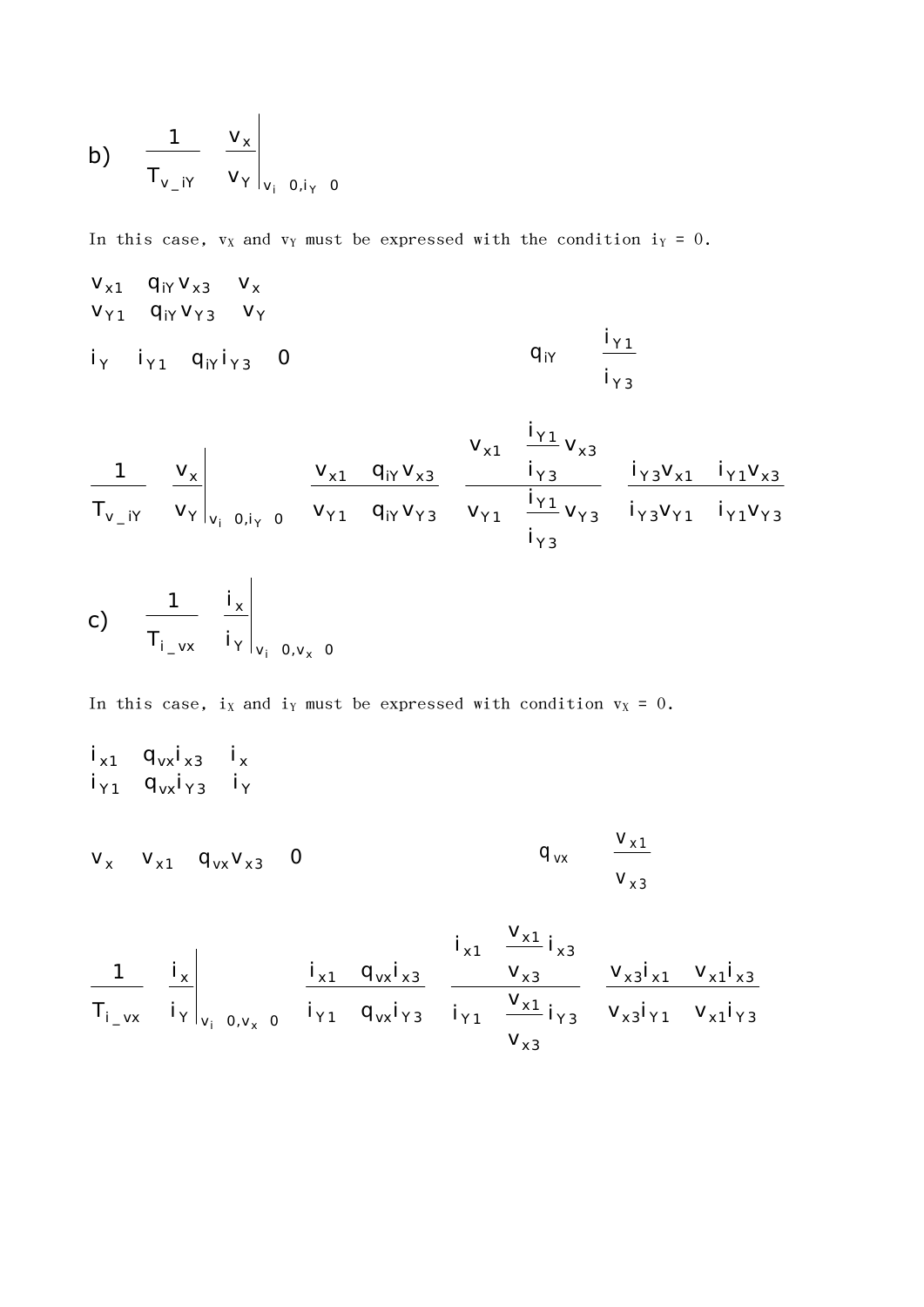b) 
$$
\frac{1}{T_{v_{-}iY}} \left. \frac{v_{x}}{v_{Y}} \right|_{v_{i} = 0, i_{Y} = 0}
$$

In this case,  $v_X$  and  $v_Y$  must be expressed with the condition  $i_Y = 0$ .

$$
v_{x1} q_{iY} v_{x3} v_x \n v_{y1} q_{iY} v_{y3} v_y \n i_{y1} q_{iY} i_{y3} 0 q_{iY} \frac{i_{y1}}{i_{y3}}
$$

$$
\frac{1}{T_{v_{_{i}}iY}}\left.\begin{array}{cc|cc} v_{_{X}}&v_{_{X1}}&v_{_{X2}}&\frac{i_{Y1}}{i_{Y3}}&v_{_{X3}}\\ v_{_{Y1}}&q_{iY}v_{_{X3}}&\frac{i_{Y2}}{i_{Y3}}&\frac{i_{Y3}v_{_{X1}}}{i_{Y3}v_{_{Y1}}}&i_{Y1}v_{_{X3}}\\ \hline i_{_{Y3}}v_{_{Y1}}&i_{_{Y1}}v_{_{Y3}}&i_{_{Y2}}v_{_{Y1}}&i_{_{Y1}}v_{_{Y3}}\\ \end{array}\right.
$$

c) 
$$
\frac{1}{T_{i_v} x} \left. \frac{i_x}{i_y} \right|_{v_i = 0, v_x = 0}
$$

In this case,  $i_X$  and  $i_Y$  must be expressed with condition  $v_X = 0$ .

$$
\begin{array}{ccccccc}\ni_{x1} & q_{vx}i_{x3} & i_{x} \\
i_{y1} & q_{vx}i_{y3} & i_{y} \\
v_{x} & v_{x1} & q_{vx}v_{x3} & 0\n\end{array}
$$

 $x3'Y1$   $x1'Y3$  $x3' \times 1$   $x1' \times 3$ Y3 YX3'YL YXI'Y3 x3  $x_1$  i  $y_2$  is  $y_3$  is  $y_2$ Y1 TY3 YX3'YI YXI'Y3  $x3$  $x3$   $x3' \times 1$   $x1' \times 3$  $x1$  ;  $x1 \quad -1 \quad x3$ Y1 Yvx'Y3 Iγ1 — Iγ3 Vx3'Y1  $x1$   $y_{vx}x_3$   $y_{x3}$   $y_{x3}x_1$ Y v 0,v 0  $x$   $x$   $\frac{1}{x}$   $\frac{1}{x}$   $\frac{1}{x}$   $\frac{1}{x}$  $\left.\begin{matrix} \mathsf{i} \mathsf{I} \mathsf{v}_1 & \mathsf{i} \mathsf{v}_2 \end{matrix}\right|_{\mathsf{V}_1} \left.\begin{matrix} \mathsf{0} \mathsf{v}_\mathsf{v} & \mathsf{0} \end{matrix}\right|_{\mathsf{Y}_1} \left.\begin{matrix} \mathsf{q} \mathsf{v}_\mathsf{x} \mathsf{i}_\mathsf{Y} \mathsf{3} & \mathsf{i} \mathsf{v}_1 \end{matrix}\right|_{\mathsf{Y}_1} \left.\begin{matrix} \mathsf{v} \mathsf{x}_1 \mathsf{i}_\mathsf{Y} & \mathsf{v}_\mathsf{x} \mathsf{3}$  $V_{x3}$  $V_{x1}$   $V_{x1}$  $V_{x3}$  $i_{\gamma}$ <sub>3</sub>  $V_{\chi}$ <sub>3</sub> $i_{\gamma}$ <sub>1</sub>  $V_{\chi}$ <sub>1</sub>  $V_{\chi}$ 3  $V_{x1}$   $V_i$   $V_i$   $V_i$  $i_{\gamma_1} \stackrel{\cdot \times 1}{\longrightarrow} i_{\gamma_3}$  V<sub>x</sub>  $i_{x3}$  $V_{x3}$   $V_{x3}i_{x1}$   $V_{x1}i_{x3}$  $V_{x1}$  $i_{x1} \quad \frac{1}{x} i_{x3}$  $i_{\gamma_1}$   $q_{\nu x}i_{\gamma_3}$   $i_{\gamma_1}$   $\frac{r_{x1}}{r_{x3}}i_{\gamma_3}$   $v_{x3}i_{\gamma_1}$   $v_{x1}i_{\gamma_3}$  $i_{x1}$  q<sub>vx</sub> $i_{x3}$  v<sub>x3</sub> v<sub>x3</sub> $i_{x1}$  v<sub>x1</sub> $i_{x3}$  $i_{Y}|_{v \in 0, v \in 0}$   $i_{Y1}$  $i_{x}$   $i_{x1}$  $T_{i}$   $\mathsf{v}\mathsf{x}$   $\mathsf{i}\mathsf{y}\big|_{\mathsf{v}\in\Omega}$   $\mathsf{v}\mathsf{v}$   $\mathsf{v}$   $\mathsf{i}\mathsf{y}\mathsf{1}$   $\mathsf{q}\mathsf{v}\mathsf{x}\mathsf{i}\mathsf{y}\mathsf{3}$   $\mathsf{i}\mathsf{y}\mathsf{1}$ 1  $i_x$   $i_{x1}$   $q_{vx}i_{x3}$  v  $i$  v, v  $x$  v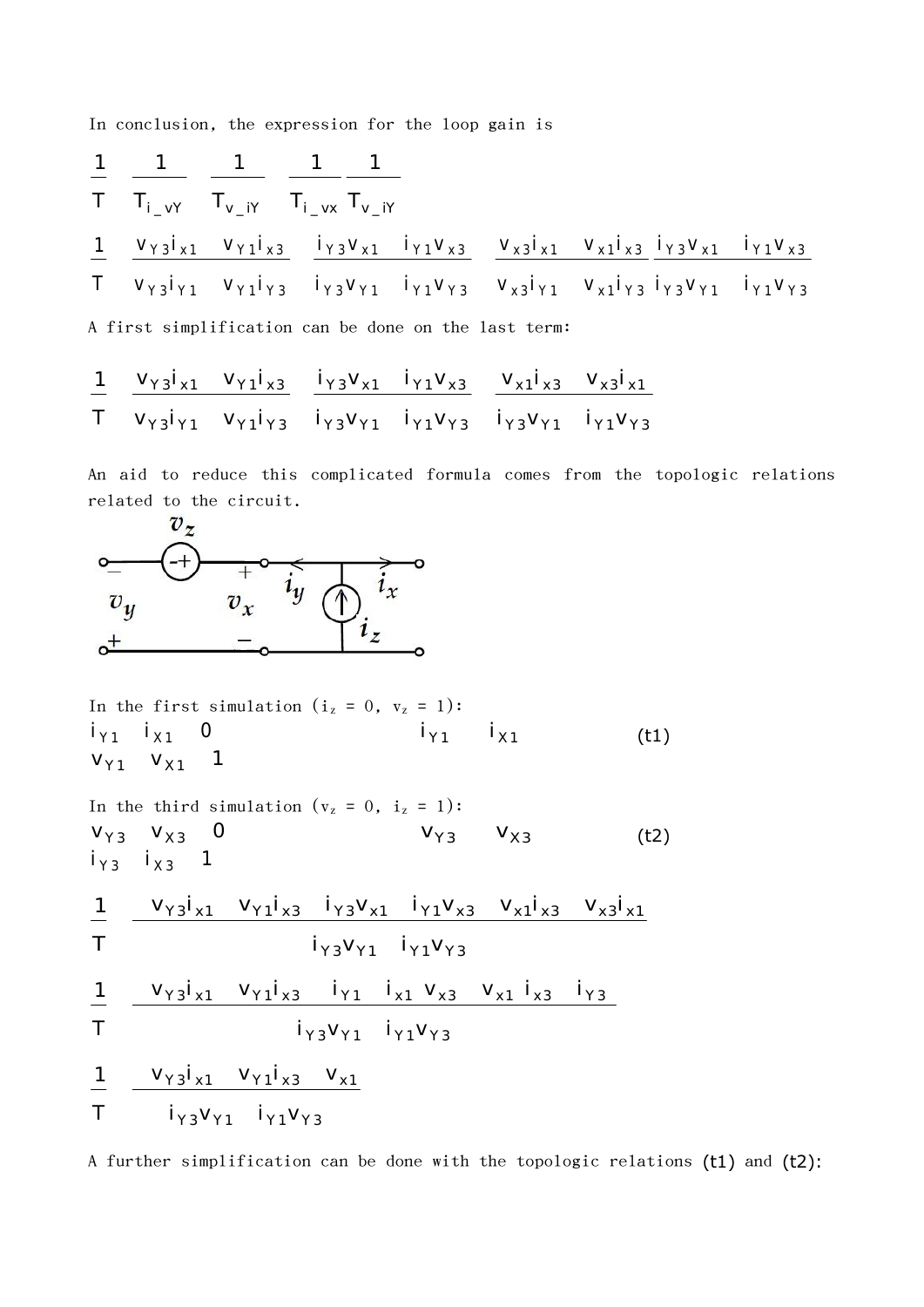In conclusion, the expression for the loop gain is

$$
\begin{array}{ccccccccc}\n1 & 1 & 1 & 1 & 1 \\
\hline\nT & T_{i_v} & T_{v_i} & T_{i_v} & T_{v_i} \\
\hline\n1 & V_{\gamma 3}i_{x1} & V_{\gamma 1}i_{x3} & i_{\gamma 3}V_{x1} & i_{\gamma 1}V_{x3} & V_{x3}i_{x1} & V_{x1}i_{x3} & i_{\gamma 3}V_{x1} & i_{\gamma 1}V_{x3} \\
\hline\nT & V_{\gamma 3}i_{\gamma 1} & V_{\gamma 1}i_{\gamma 3} & i_{\gamma 3}V_{\gamma 1} & i_{\gamma 1}V_{\gamma 3} & V_{x3}i_{\gamma 1} & V_{x1}i_{\gamma 3} & i_{\gamma 3}V_{\gamma 1} & i_{\gamma 1}V_{\gamma 3} \\
\hline\n\end{array}
$$

A first simplification can be done on the last term:

T v<sub>Y3</sub>i<sub>Y1</sub> v<sub>Y1</sub>i<sub>Y3</sub> i<sub>Y3</sub>v<sub>Y1</sub> i<sub>Y1</sub>v<sub>Y3</sub> i<sub>Y3</sub>v<sub>Y1</sub> i<sub>Y1</sub>v<sub>Y3</sub> 1  $V_{\gamma_3}V_{x1}$   $V_{\gamma_1}V_{x3}$   $V_{\gamma_3}V_{x1}$   $V_{\gamma_1}V_{\gamma_3}$   $V_{\gamma_1}V_{x3}$   $V_{\gamma_2}V_{x1}$ 

An aid to reduce this complicated formula comes from the topologic relations related to the circuit.



In the first simulation (i<sub>z</sub> = 0, v<sub>z</sub> = 1):  
\n
$$
\begin{array}{ccc}\ni_{\gamma_1} & i_{\chi_1} & 0 \\
v_{\gamma_1} & v_{\chi_1} & 1\n\end{array}
$$
\n(1)

In the third simulation (v<sub>z</sub> = 0, i<sub>z</sub> = 1):  
\nV<sub>Y3</sub> V<sub>X3</sub> 0 V<sub>Y3</sub> V<sub>X3</sub> (t2)  
\ni<sub>Y3</sub> i<sub>X3</sub> 1 (t2)  
\n
$$
\frac{1}{T} \frac{V_{Y3}i_{x1} V_{Y1}i_{x3} i_{Y3}V_{x1} i_{Y1}V_{x3} V_{x1}i_{x3} V_{x3}i_{x1}}{i_{Y3}V_{Y1} i_{Y1}V_{Y3}}
$$
\n
$$
\frac{1}{T} \frac{V_{Y3}i_{x1} V_{Y1}i_{x3} i_{Y1} i_{x1} V_{x3} V_{x1}i_{x3} i_{Y3}}{i_{Y3}V_{Y1} i_{Y1}V_{Y3}}
$$
\n
$$
\frac{1}{T} \frac{V_{Y3}i_{x1} V_{Y1}i_{x3} V_{x1}}{i_{Y3}V_{Y1} i_{Y1}V_{Y3}}
$$

A further simplification can be done with the topologic relations (t1) and (t2):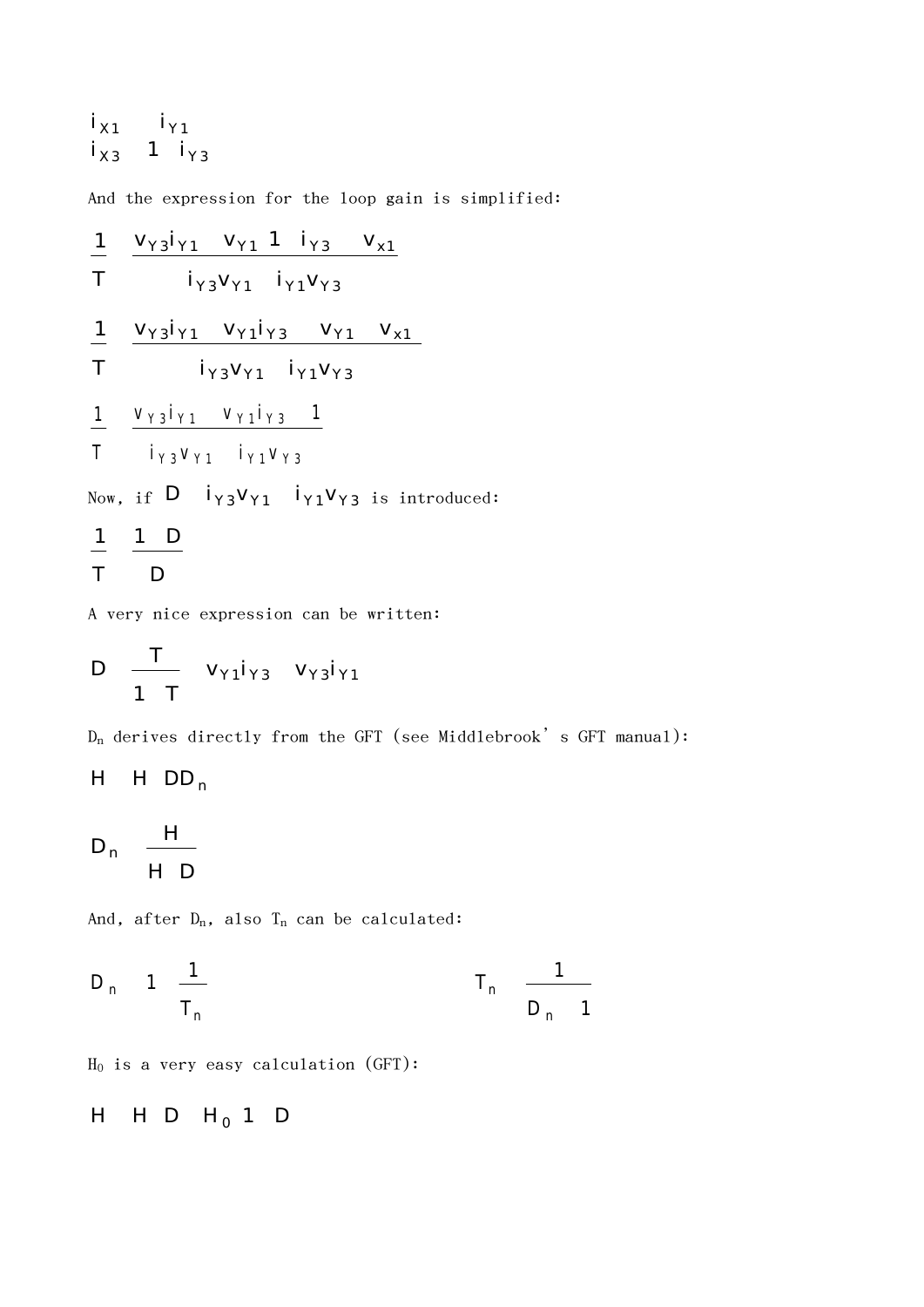$$
\begin{array}{ccccc}\ni_{\chi_1} & i_{\gamma_1} \\
i_{\chi_3} & 1 & i_{\gamma_3}\n\end{array}
$$

And the expression for the loop gain is simplified:

$$
\frac{1}{T} \quad \frac{V_{Y3}i_{Y1} V_{Y1} 1 i_{Y3} V_{x1}}{i_{Y3}V_{Y1} i_{Y1}V_{Y3}}
$$
\n
$$
\frac{1}{T} \quad \frac{V_{Y3}i_{Y1} V_{Y1}i_{Y3} V_{Y1} V_{x1}}{i_{Y3}V_{Y1} i_{Y1}V_{Y3}}
$$
\n
$$
\frac{1}{T} \quad \frac{V_{Y3}i_{Y1} V_{Y1}i_{Y3} 1}{i_{Y3}V_{Y1} i_{Y1}V_{Y3}}
$$
\nNow, if D i<sub>Y3</sub>V<sub>Y1</sub> i<sub>Y1</sub>V<sub>Y3</sub> is introduced:\n
$$
\frac{1}{T} \quad \frac{1}{T} \quad \frac{D}{D}
$$

A very nice expression can be written:

$$
D \quad \frac{T}{1\ T} \quad v_{\gamma 1} i_{\gamma 3} \quad v_{\gamma 3} i_{\gamma 1}
$$

 $D_n$  derives directly from the GFT (see Middlebrook's GFT manual):

$$
H \quad H \quad DD_n
$$

$$
D_n \quad \frac{H}{H \quad D}
$$

And, after  $D_n$ , also  $T_n$  can be calculated:

$$
D_n
$$
 1  $\frac{1}{T_n}$   $T_n$   $\frac{1}{D_n}$  1

 $H_0$  is a very easy calculation (GFT):

H H D  $H_0$  1 D